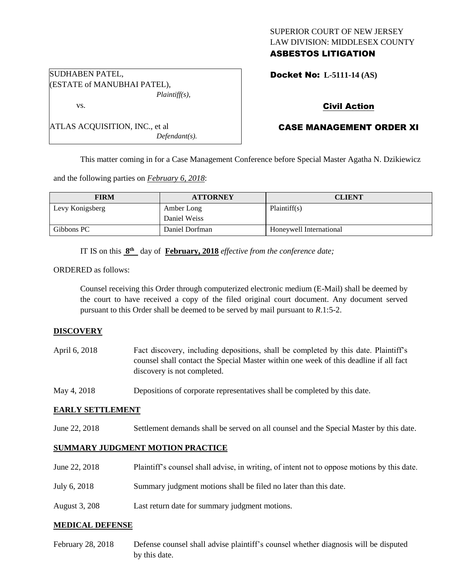# SUPERIOR COURT OF NEW JERSEY LAW DIVISION: MIDDLESEX COUNTY ASBESTOS LITIGATION

|  | <b>Docket No: L-5111-14 (AS)</b> |
|--|----------------------------------|
|  |                                  |

# Civil Action

# CASE MANAGEMENT ORDER XI

This matter coming in for a Case Management Conference before Special Master Agatha N. Dzikiewicz

and the following parties on *February 6, 2018*:

*Plaintiff(s),*

*Defendant(s).*

| <b>FIRM</b>     | <b>ATTORNEY</b> | <b>CLIENT</b>           |
|-----------------|-----------------|-------------------------|
| Levy Konigsberg | Amber Long      | Plaintiff(s)            |
|                 | Daniel Weiss    |                         |
| Gibbons PC      | Daniel Dorfman  | Honeywell International |

IT IS on this  $8^{\text{th}}$  day of **February, 2018** *effective from the conference date*;

ORDERED as follows:

SUDHABEN PATEL,

vs.

(ESTATE of MANUBHAI PATEL),

ATLAS ACQUISITION, INC., et al

Counsel receiving this Order through computerized electronic medium (E-Mail) shall be deemed by the court to have received a copy of the filed original court document. Any document served pursuant to this Order shall be deemed to be served by mail pursuant to *R*.1:5-2.

### **DISCOVERY**

| April 6, 2018 | Fact discovery, including depositions, shall be completed by this date. Plaintiff's<br>counsel shall contact the Special Master within one week of this deadline if all fact<br>discovery is not completed. |
|---------------|-------------------------------------------------------------------------------------------------------------------------------------------------------------------------------------------------------------|
| May 4, 2018   | Depositions of corporate representatives shall be completed by this date.                                                                                                                                   |

### **EARLY SETTLEMENT**

June 22, 2018 Settlement demands shall be served on all counsel and the Special Master by this date.

### **SUMMARY JUDGMENT MOTION PRACTICE**

| June 22, 2018 | Plaintiff's counsel shall advise, in writing, of intent not to oppose motions by this date. |
|---------------|---------------------------------------------------------------------------------------------|
| July 6, 2018  | Summary judgment motions shall be filed no later than this date.                            |
| August 3, 208 | Last return date for summary judgment motions.                                              |

#### **MEDICAL DEFENSE**

February 28, 2018 Defense counsel shall advise plaintiff's counsel whether diagnosis will be disputed by this date.